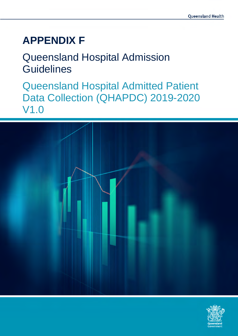# **APPENDIX F**

# Queensland Hospital Admission **Guidelines**

Queensland Hospital Admitted Patient Data Collection (QHAPDC) 2019-2020 V1.0



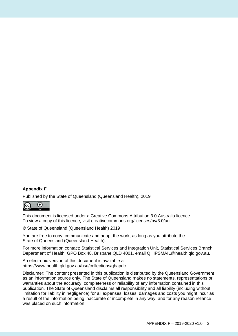### **Appendix F**

Published by the State of Queensland (Queensland Health), 2019



This document is licensed under a Creative Commons Attribution 3.0 Australia licence. To view a copy of this licence, visit creativecommons.org/licenses/by/3.0/au

© State of Queensland (Queensland Health) 2019

You are free to copy, communicate and adapt the work, as long as you attribute the State of Queensland (Queensland Health).

For more information contact: Statistical Services and Integration Unit, Statistical Services Branch, Department of Health, GPO Box 48, Brisbane QLD 4001, email QHIPSMAIL@health.qld.gov.au.

An electronic version of this document is available at https://www.health.qld.gov.au/hsu/collections/qhapdc

Disclaimer: The content presented in this publication is distributed by the Queensland Government as an information source only. The State of Queensland makes no statements, representations or warranties about the accuracy, completeness or reliability of any information contained in this publication. The State of Queensland disclaims all responsibility and all liability (including without limitation for liability in negligence) for all expenses, losses, damages and costs you might incur as a result of the information being inaccurate or incomplete in any way, and for any reason reliance was placed on such information.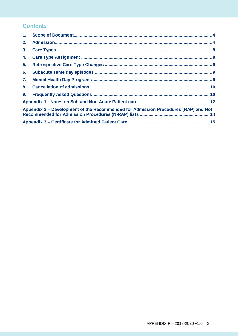### **Contents**

| 1. |                                                                                    |  |
|----|------------------------------------------------------------------------------------|--|
| 2. |                                                                                    |  |
| 3. |                                                                                    |  |
| 4. |                                                                                    |  |
| 5. |                                                                                    |  |
| 6. |                                                                                    |  |
| 7. |                                                                                    |  |
| 8. |                                                                                    |  |
| 9. |                                                                                    |  |
|    |                                                                                    |  |
|    | Appendix 2 – Development of the Recommended for Admission Procedures (RAP) and Not |  |
|    |                                                                                    |  |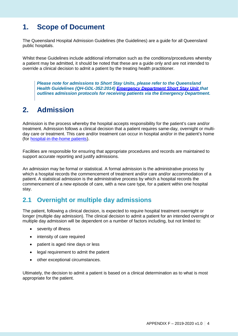# <span id="page-3-0"></span>**1. Scope of Document**

The Queensland Hospital Admission Guidelines (the Guidelines) are a guide for all Queensland public hospitals.

Whilst these Guidelines include additional information such as the conditions/procedures whereby a patient may be admitted, it should be noted that these are a guide only and are not intended to override a clinical decision to admit a patient by the treating health practitioner.

*Please note for admissions to Short Stay Units, please refer to the Queensland Health Guidelines (QH-GDL-352:2014) [Emergency Department Short Stay Unit t](https://www.health.qld.gov.au/qhpolicy/html/index-e)hat outlines admission protocols for receiving patients via the Emergency Department.* 

# <span id="page-3-1"></span>**2. Admission**

Admission is the process whereby the hospital accepts responsibility for the patient's care and/or treatment. Admission follows a clinical decision that a patient requires same-day, overnight or multiday care or treatment. This care and/or treatment can occur in hospital and/or in the patient's home (for [hospital-in-the-home patients\)](https://www.health.qld.gov.au/__data/assets/pdf_file/0016/147400/qh-gdl-379.pdf).

Facilities are responsible for ensuring that appropriate procedures and records are maintained to support accurate reporting and justify admissions.

An admission may be formal or statistical. A formal admission is the administrative process by which a hospital records the commencement of treatment and/or care and/or accommodation of a patient. A statistical admission is the administrative process by which a hospital records the commencement of a new episode of care, with a new care type, for a patient within one hospital stay.

### **2.1 Overnight or multiple day admissions**

The patient, following a clinical decision, is expected to require hospital treatment overnight or longer (multiple day admission). The clinical decision to admit a patient for an intended overnight or multiple day admission will be dependent on a number of factors including, but not limited to:

- severity of illness
- intensity of care required
- patient is aged nine days or less
- legal requirement to admit the patient
- other exceptional circumstances.

Ultimately, the decision to admit a patient is based on a clinical determination as to what is most appropriate for the patient.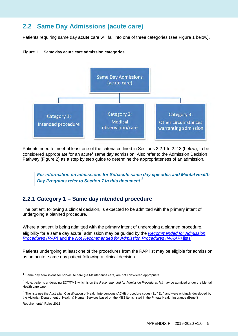### **2.2 Same Day Admissions (acute care)**

Patients requiring same day **acute** care will fall into one of three categories (see Figure 1 below).

#### **Figure 1 Same day acute care admission categories**



Patients need to meet at least one of the criteria outlined in Sections 2.2.1 to 2.2.3 (below), to be considered appropriate for an acute<sup>1</sup> same day admission. Also refer to the Admission Decision Pathway (Figure 2) as a step by step guide to determine the appropriateness of an admission.

*For information on admissions for Subacute same day episodes and Mental Health Day Programs refer to Section 7 in this document. [1](#page-4-0)*

### **2.2.1 Category 1 – Same day intended procedure**

The patient, following a clinical decision, is expected to be admitted with the primary intent of undergoing a planned procedure.

Where a patient is being admitted with the primary intent of undergoing a planned procedure, eligibility for a same day acute<sup>[2](#page-4-1)</sup> admission may be guided by the <u>*[Recommended for Admission](https://qheps.health.qld.gov.au/__data/assets/excel_doc/0027/2354742/RAP-and-N-RAP-list-V1.4.xlsx)*</u> *Procedures (RAP)* and the *Not Recommended for Admission Procedures (N-RAP)* lists<sup>[3](#page-4-2)</sup>.

Patients undergoing at least one of the procedures from the RAP list may be eligible for admission as an acute<sup>1</sup> same day patient following a clinical decision.

<span id="page-4-2"></span> $3$  The lists use the Australian Classification of Health Interventions (ACHI) procedure codes (11<sup>th</sup> Ed.) and were originally developed by the Victorian Department of Health & Human Services based on the MBS items listed in the Private Health Insurance (Benefit

Requirements) Rules 2011.

 $\overline{a}$ 

<span id="page-4-0"></span> $1$  Same day admissions for non-acute care (i.e Maintenance care) are not considered appropriate.

<span id="page-4-1"></span><sup>2</sup> Note: patients undergoing ECT/TMS which is on the *Recommended for Admission Procedures list* may be admitted under the Mental Health care type.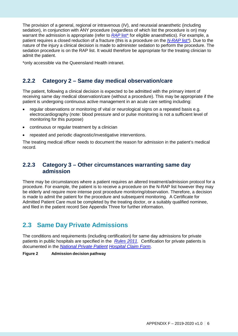The provision of a general, regional or intravenous (IV), and neuraxial anaesthetic (including sedation), in conjunction with ANY procedure (regardless of which list the procedure is on) may warrant the admission is appropriate (refer to *[RAP](https://qheps.health.qld.gov.au/__data/assets/excel_doc/0027/2354742/RAP-and-N-RAP-list-V1.4.xlsx)* list<sup>\*</sup> for eligible anaesthetics). For example, a patient requires a closed reduction of a fracture (this is a procedure on the *[N-RAP](https://qheps.health.qld.gov.au/__data/assets/excel_doc/0027/2354742/RAP-and-N-RAP-list-V1.4.xlsx)* [list\\*](http://qheps.health.qld.gov.au/abf/html/009-counting.htm)). Due to the nature of the injury a clinical decision is made to administer sedation to perform the procedure. The sedation procedure is on the RAP list. It would therefore be appropriate for the treating clinician to admit the patient.

\*only accessible via the Queensland Health intranet.

### **2.2.2 Category 2 – Same day medical observation/care**

The patient, following a clinical decision is expected to be admitted with the primary intent of receiving same day medical observation/care (without a procedure). This may be appropriate if the patient is undergoing continuous active management in an acute care setting including:

- regular observations or monitoring of vital or neurological signs on a repeated basis e.g. electrocardiography (note: blood pressure and or pulse monitoring is not a sufficient level of monitoring for this purpose)
- continuous or regular treatment by a clinician
- repeated and periodic diagnostic/investigative interventions.

The treating medical officer needs to document the reason for admission in the patient's medical record.

### **2.2.3 Category 3 – Other circumstances warranting same day admission**

There may be circumstances where a patient requires an altered treatment/admission protocol for a procedure. For example, the patient is to receive a procedure on the N-RAP list however they may be elderly and require more intense post procedure monitoring/observation. Therefore, a decision is made to admit the patient for the procedure and subsequent monitoring. A Certificate for Admitted Patient Care must be completed by the treating doctor, or a suitably qualified nominee, and filed in the patient record See Appendix Three for further information.

### **2.3 Same Day Private Admissions**

The conditions and requirements (including certification) for same day admissions for private patients in public hospitals are specified in the *[Rules 2011.](https://www.legislation.gov.au/Details/F2017C00957)* Certification for private patients is documented in the *[National Private Patient](http://www.medibank.com.au/Client/Documents/Pdfs/National_Hospital_Claim_Form.pdf) [Hospital Claim Form](http://www.medibank.com.au/Client/Documents/Pdfs/National_Hospital_Claim_Form.pdf)*.

**Figure 2 Admission decision pathway**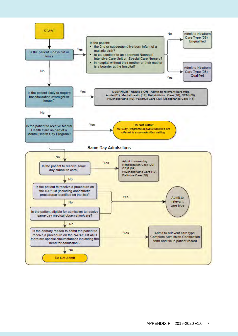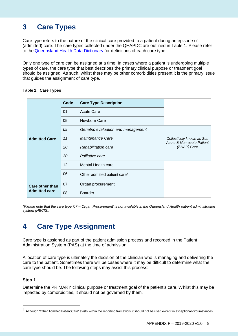# <span id="page-7-0"></span>**3 Care Types**

Care type refers to the nature of the clinical care provided to a patient during an episode of (admitted) care. The care types collected under the QHAPDC are outlined in Table 1. Please refer to the [Queensland Health Data Dictionary](http://oascrasprod.co.health.qld.gov.au:7900/pls/crd_prd/f?p=103:7:::NO::P7_SEQ_ID:42579) for definitions of each care type.

Only one type of care can be assigned at a time. In cases where a patient is undergoing multiple types of care, the care type that best describes the primary clinical purpose or treatment goal should be assigned. As such, whilst there may be other comorbidities present it is the primary issue that guides the assignment of care type.

|                        | Code | <b>Care Type Description</b>             |                                                        |
|------------------------|------|------------------------------------------|--------------------------------------------------------|
|                        | 01   | <b>Acute Care</b>                        |                                                        |
|                        | 05   | Newborn Care                             |                                                        |
|                        | 09   | Geriatric evaluation and management      |                                                        |
| <b>Admitted Care</b>   | 11   | Maintenance Care                         | Collectively known as Sub<br>Acute & Non-acute Patient |
|                        | 20   | Rehabilitation care                      | (SNAP) Care                                            |
|                        | 30   | Palliative care                          |                                                        |
|                        | 12   | Mental Health care                       |                                                        |
|                        | 06   | Other admitted patient care <sup>4</sup> |                                                        |
| <b>Care other than</b> | 07   | Organ procurement                        |                                                        |
| <b>Admitted care</b>   | 08   | <b>Boarder</b>                           |                                                        |

#### **Table 1: Care Types**

*\*Please note that the care type '07 – Organ Procurement' is not available in the Queensland Health patient administration system (HBCIS).*

# <span id="page-7-1"></span>**4 Care Type Assignment**

Care type is assigned as part of the patient admission process and recorded in the Patient Administration System (PAS) at the time of admission.

Allocation of care type is ultimately the decision of the clinician who is managing and delivering the care to the patient. Sometimes there will be cases where it may be difficult to determine what the care type should be. The following steps may assist this process:

### **Step 1**

 $\overline{a}$ 

Determine the PRIMARY clinical purpose or treatment goal of the patient's care. Whilst this may be impacted by comorbidities, it should not be governed by them.

<span id="page-7-2"></span><sup>&</sup>lt;sup>4</sup> Although 'Other Admitted Patient Care' exists within the reporting framework it should not be used except in exceptional circumstances.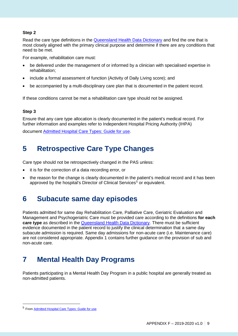### **Step 2**

Read the care type definitions in the [Queensland Health Data Dictionary](http://oascrasprod.co.health.qld.gov.au:7900/pls/crd_prd/f?p=103:7:::NO::P7_SEQ_ID:42579) and find the one that is most closely aligned with the primary clinical purpose and determine if there are any conditions that need to be met.

For example, rehabilitation care must:

- be delivered under the management of or informed by a clinician with specialised expertise in rehabilitation;
- include a formal assessment of function (Activity of Daily Living score); and
- be accompanied by a multi-disciplinary care plan that is documented in the patient record.

If these conditions cannot be met a rehabilitation care type should not be assigned.

### **Step 3**

Ensure that any care type allocation is clearly documented in the patient's medical record. For further information and examples refer to Independent Hospital Pricing Authority (IHPA)

document [Admitted Hospital Care Types: Guide](https://www.ihpa.gov.au/sites/g/files/net636/f/publications/admitted_hospital_care_types-_guide_for_use_v0_5.pdf) for use.

# <span id="page-8-0"></span>**5 Retrospective Care Type Changes**

Care type should not be retrospectively changed in the PAS unless:

- it is for the correction of a data recording error, or
- the reason for the change is clearly documented in the patient's medical record and it has been approved by the hospital's Director of Clinical Services<sup>[5](#page-8-3)</sup> or equivalent.

### <span id="page-8-1"></span>**6 Subacute same day episodes**

Patients admitted for same day Rehabilitation Care, Palliative Care, Geriatric Evaluation and Management and Psychogeriatric Care must be provided care according to the definitions **for each care type** as described in the [Queensland Health Data Dictionary.](http://oascrasprod.co.health.qld.gov.au:7900/pls/crd_prd/f?p=103:7:::NO::P7_SEQ_ID:42579) There must be sufficient evidence documented in the patient record to justify the clinical determination that a same day subacute admission is required. Same day admissions for non-acute care (i.e. Maintenance care) are not considered appropriate. Appendix 1 contains further guidance on the provision of sub and non-acute care.

# <span id="page-8-2"></span>**7 Mental Health Day Programs**

Patients participating in a Mental Health Day Program in a public hospital are generally treated as non-admitted patients.

 $\overline{a}$ 

<span id="page-8-3"></span><sup>5</sup> From [Admitted Hospital Care Types: Guide for use](https://www.ihpa.gov.au/sites/g/files/net636/f/publications/admitted_hospital_care_types-_guide_for_use_v0_5.pdf)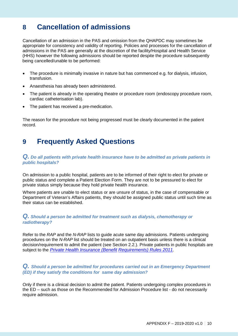## <span id="page-9-0"></span>**8 Cancellation of admissions**

Cancellation of an admission in the PAS and omission from the QHAPDC may sometimes be appropriate for consistency and validity of reporting. Policies and processes for the cancellation of admissions in the PAS are generally at the discretion of the facility/Hospital and Health Service (HHS) however the following admissions should be reported despite the procedure subsequently being cancelled/unable to be performed:

- The procedure is minimally invasive in nature but has commenced e.g. for dialysis, infusion, transfusion.
- Anaesthesia has already been administered.
- The patient is already in the operating theatre or procedure room (endoscopy procedure room, cardiac catheterisation lab).
- The patient has received a pre-medication.

The reason for the procedure not being progressed must be clearly documented in the patient record.

## <span id="page-9-1"></span>**9 Frequently Asked Questions**

### *Q. Do all patients with private health insurance have to be admitted as private patients in public hospitals?*

On admission to a public hospital, patients are to be informed of their right to elect for private or public status and complete a Patient Election Form. They are not to be pressured to elect for private status simply because they hold private health insurance.

Where patients are unable to elect status or are unsure of status, in the case of compensable or Department of Veteran's Affairs patients, they should be assigned public status until such time as their status can be established.

### *Q. Should a person be admitted for treatment such as dialysis, chemotherapy or radiotherapy?*

Refer to the *RAP* and the *N-RAP* lists to guide acute same day admissions. Patients undergoing procedures on the *N-RAP* list should be treated on an outpatient basis unless there is a clinical decision/requirement to admit the patient (see Section 2.2.). Private patients in public hospitals are subject to the *Private [Health Insurance \(Benefit](https://www.legislation.gov.au/Series/F2011L02160) [Requirements\) Rules 2011.](https://www.legislation.gov.au/Details/F2017C00555)*

### **Q.** Should a person be admitted for procedures carried out in an Emergency Department *(ED) if they satisfy the conditions for same day admission?*

Only if there is a clinical decision to admit the patient. Patients undergoing complex procedures in the ED – such as those on the Recommended for Admission Procedure list - do not necessarily require admission.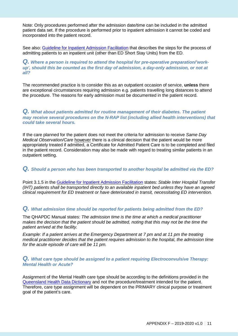Note: Only procedures performed after the admission date/time can be included in the admitted patient data set. If the procedure is performed prior to inpatient admission it cannot be coded and incorporated into the patient record.

See also: [Guideline for Inpatient Admission Facilitation t](https://www.health.qld.gov.au/__data/assets/pdf_file/0032/377771/qh-hsdgdl-025-3.pdf)hat describes the steps for the process of admitting patients to an inpatient unit (other than ED Short Stay Units) from the ED.

*Q. Where a person is required to attend the hospital for pre-operative preparation/'workup', should this be counted as the first day of admission, a day-only admission, or not at all?*

The recommended practice is to consider this as an outpatient occasion of service, **unless** there are exceptional circumstances requiring admission e.g. patients travelling long distances to attend the procedure. The reasons for early admission must be documented in the patient record.

### *Q. What about patients admitted for routine management of their diabetes. The patient may receive several procedures on the N-RAP list (including allied health interventions) that could take several hours.*

If the care planned for the patient does not meet the criteria for admission to receive *Same Day Medical Observation/Care* however there is a clinical decision that the patient would be more appropriately treated if admitted, a Certificate for Admitted Patient Care is to be completed and filed in the patient record. Consideration may also be made with regard to treating similar patients in an outpatient setting.

### *Q. Should a person who has been transported to another hospital be admitted via the ED?*

Point 3.1.5 in the Guideline for [Inpatient Admission Facilitation](https://www.health.qld.gov.au/__data/assets/pdf_file/0032/377771/qh-hsdgdl-025-3.pdf) states: *Stable Inter Hospital Transfer (IHT) patients shall be transported directly to an available inpatient bed unless they have an agreed clinical requirement for ED treatment or have deteriorated in transit, necessitating ED intervention.* 

### *Q. What admission time should be reported for patients being admitted from the ED?*

The QHAPDC Manual states: *The admission time is the time at which a medical practitioner makes the decision that the patient should be admitted, noting that this may not be the time the patient arrived at the facility.*

*Example: If a patient arrives at the Emergency Department at 7 pm and at 11 pm the treating medical practitioner decides that the patient requires admission to the hospital, the admission time for the acute episode of care will be 11 pm.*

#### *Q. What care type should be assigned to a patient requiring Electroconvulsive Therapy: Mental Health or Acute?*

Assignment of the Mental Health care type should be according to the definitions provided in the [Queensland Health Data Dictionary](http://oascrasprod.co.health.qld.gov.au:7900/pls/crd_prd/f?p=103:7:::NO::P7_SEQ_ID:42579) and not the procedure/treatment intended for the patient. Therefore, care type assignment will be dependent on the PRIMARY clinical purpose or treatment goal of the patient's care.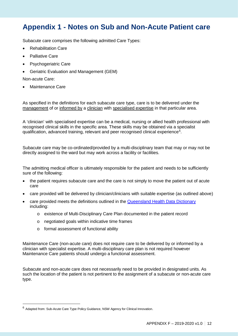# <span id="page-11-0"></span>**Appendix 1 - Notes on Sub and Non-Acute Patient care**

Subacute care comprises the following admitted Care Types:

- Rehabilitation Care
- Palliative Care
- Psychogeriatric Care
- Geriatric Evaluation and Management (GEM)

Non-acute Care:

 $\overline{a}$ 

• Maintenance Care

As specified in the definitions for each subacute care type, care is to be delivered under the management of or informed by a clinician with specialised expertise in that particular area.

A 'clinician' with specialised expertise can be a medical, nursing or allied health professional with recognised clinical skills in the specific area. These skills may be obtained via a specialist qualification, advanced training, relevant and peer recognised clinical experience $^6$  $^6$ .

Subacute care may be co-ordinated/provided by a multi-disciplinary team that may or may not be directly assigned to the ward but may work across a facility or facilities.

The admitting medical officer is ultimately responsible for the patient and needs to be sufficiently sure of the following:

- the patient requires subacute care and the care is not simply to move the patient out of acute care
- care provided will be delivered by clinician/clinicians with suitable expertise (as outlined above)
- care provided meets the definitions outlined in the [Queensland Health Data Dictionary](http://oascrasprod.co.health.qld.gov.au:7900/pls/crd_prd/f?p=103:7:::NO::P7_SEQ_ID:42579) including:
	- o existence of Multi-Disciplinary Care Plan documented in the patient record
	- o negotiated goals within indicative time frames
	- o formal assessment of functional ability

Maintenance Care (non-acute care) does not require care to be delivered by or informed by a clinician with specialist expertise. A multi-disciplinary care plan is not required however Maintenance Care patients should undergo a functional assessment.

Subacute and non-acute care does not necessarily need to be provided in designated units. As such the location of the patient is not pertinent to the assignment of a subacute or non-acute care type.

<span id="page-11-1"></span><sup>6</sup> Adapted from: Sub-Acute Care Type Policy Guidance, NSW Agency for Clinical Innovation.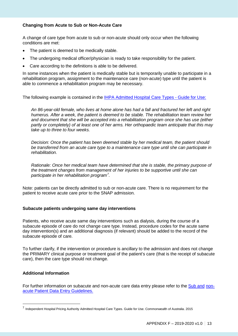### **Changing from Acute to Sub or Non-Acute Care**

A change of care type from acute to sub or non-acute should only occur when the following conditions are met:

- The patient is deemed to be medically stable.
- The undergoing medical officer/physician is ready to take responsibility for the patient.
- Care according to the definitions is able to be delivered.

In some instances when the patient is medically stable but is temporarily unable to participate in a rehabilitation program, assignment to the maintenance care (non-acute) type until the patient is able to commence a rehabilitation program may be necessary.

The following example is contained in the [IHPA Admitted](https://www.ihpa.gov.au/sites/g/files/net636/f/publications/admitted_hospital_care_types-_guide_for_use_v0_5.pdf) Hospital Care Types - Guide for Use:

*An 86-year-old female, who lives at home alone has had a fall and fractured her left and right humerus. After a week, the patient is deemed to be stable. The rehabilitation team review her and document that she will be accepted into a rehabilitation program once she has use (either partly or completely) of at least one of her arms. Her orthopaedic team anticipate that this may take up to three to four weeks.*

*Decision: Once the patient has been deemed stable by her medical team, the patient should be transferred from an acute care type to a maintenance care type until she can participate in rehabilitation.*

*Rationale: Once her medical team have determined that she is stable, the primary purpose of the treatment changes from management of her injuries to be supportive until she can participate in her rehabilitation program[7](#page-12-0) .*

Note: patients can be directly admitted to sub or non-acute care. There is no requirement for the patient to receive acute care prior to the SNAP admission.

#### **Subacute patients undergoing same day interventions**

Patients, who receive acute same day interventions such as dialysis, during the course of a subacute episode of care do not change care type. Instead, procedure codes for the acute same day intervention(s) and an additional diagnosis (if relevant) should be added to the record of the subacute episode of care.

To further clarify, if the intervention or procedure is ancillary to the admission and does not change the PRIMARY clinical purpose or treatment goal of the patient's care (that is the receipt of subacute care), then the care type should not change.

#### **Additional Information**

 $\overline{a}$ 

For further information on subacute and non-acute care data entry please refer to the [Sub and](https://qheps.health.qld.gov.au/__data/assets/pdf_file/0036/1856880/snap-data-entry-guide-1718-v1.0.pdf) [non](http://qheps.health.qld.gov.au/hsu/pdf/QHAPDC/snap-data-entry-guide-1617-v1.0.pdf)[acute Patient Data Entry Guidelines.](http://qheps.health.qld.gov.au/hsu/pdf/QHAPDC/snap-data-entry-guide-1617-v1.0.pdf)

<span id="page-12-0"></span><sup>7</sup> Independent Hospital Pricing Authority Admitted Hospital Care Types. Guide for Use. Commonwealth of Australia. 2015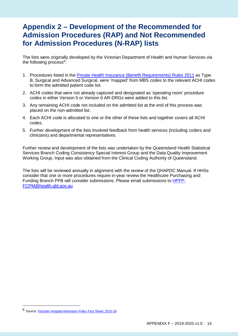# <span id="page-13-0"></span>**Appendix 2 – Development of the Recommended for Admission Procedures (RAP) and Not Recommended for Admission Procedures (N-RAP) lists**

The lists were originally developed by the Victorian Department of Health and Human Services via the following process<sup>[8](#page-13-1)</sup>:

- 1. Procedures listed in the **Private Health [Insurance \(Benefit Requirements\) Rules 2011](https://www.legislation.gov.au/Series/F2011L02160)** as Type B, Surgical and Advanced Surgical, were 'mapped' from MBS codes to the relevant ACHI codes to form the admitted patient code list.
- 2. ACHI codes that were not already captured and designated as 'operating room' procedure codes in either Version 5 or Version 6 AR-DRGs were added to this list.
- 3. Any remaining ACHI code not included on the admitted list at the end of this process was placed on the non-admitted list.
- 4. Each ACHI code is allocated to one or the other of these lists and together covers all ACHI codes.
- 5. Further development of the lists involved feedback from health services (including coders and clinicians) and departmental representatives.

Further review and development of the lists was undertaken by the Queensland Health Statistical Services Branch Coding Consistency Special Interest Group and the Data Quality Improvement Working Group. Input was also obtained from the Clinical Coding Authority of Queensland.

The lists will be reviewed annually in alignment with the review of the QHAPDC Manual. If HHSs consider that one or more procedures require in-year review the Healthcare Purchasing and Funding Branch PFB will consider submissions. Please email submissions to [HPFP-](mailto:HPFP-FCPM@health.qld.gov.au)[FCPM@health.qld.gov.au](mailto:HPFP-FCPM@health.qld.gov.au)

 $\overline{a}$ 

<span id="page-13-1"></span><sup>8</sup> Source: [Victorian Hospital Admission Policy Fact Sheet: 2015-16](https://www2.health.vic.gov.au/about/publications/policiesandguidelines/victorian-hospital-admission-policy-fact-sheet-2015-16)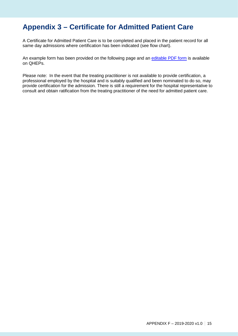# <span id="page-14-0"></span>**Appendix 3 – Certificate for Admitted Patient Care**

A Certificate for Admitted Patient Care is to be completed and placed in the patient record for all same day admissions where certification has been indicated (see flow chart).

An example form has been provided on the following page and an [editable PDF form i](https://qheps.health.qld.gov.au/__data/assets/pdf_file/0018/2223126/SW042-Cert-for-Admitted-Patient-Care-v3.00.pdf)s available on QHEPs.

Please note: In the event that the treating practitioner is not available to provide certification, a professional employed by the hospital and is suitably qualified and been nominated to do so, may provide certification for the admission. There is still a requirement for the hospital representative to consult and obtain ratification from the treating practitioner of the need for admitted patient care.